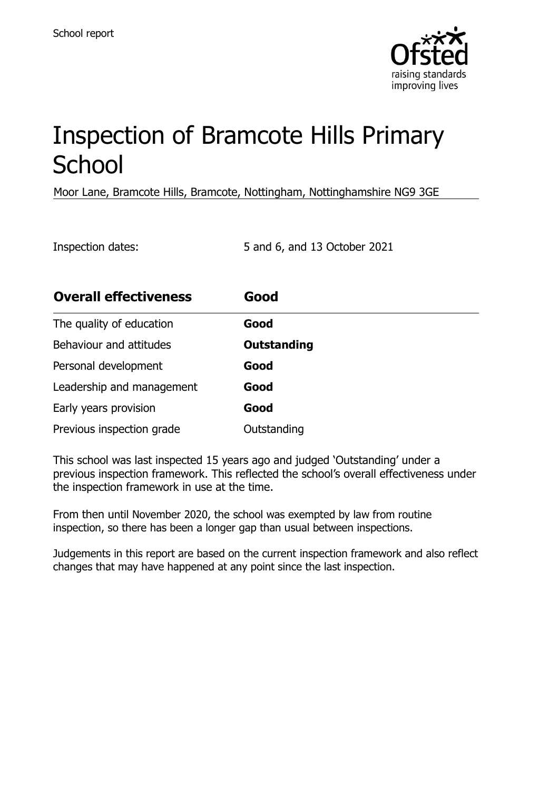

# Inspection of Bramcote Hills Primary **School**

Moor Lane, Bramcote Hills, Bramcote, Nottingham, Nottinghamshire NG9 3GE

Inspection dates: 5 and 6, and 13 October 2021

| <b>Overall effectiveness</b> | Good        |  |
|------------------------------|-------------|--|
| The quality of education     | Good        |  |
| Behaviour and attitudes      | Outstanding |  |
| Personal development         | Good        |  |
| Leadership and management    | Good        |  |
| Early years provision        | Good        |  |
| Previous inspection grade    | Outstanding |  |

This school was last inspected 15 years ago and judged 'Outstanding' under a previous inspection framework. This reflected the school's overall effectiveness under the inspection framework in use at the time.

From then until November 2020, the school was exempted by law from routine inspection, so there has been a longer gap than usual between inspections.

Judgements in this report are based on the current inspection framework and also reflect changes that may have happened at any point since the last inspection.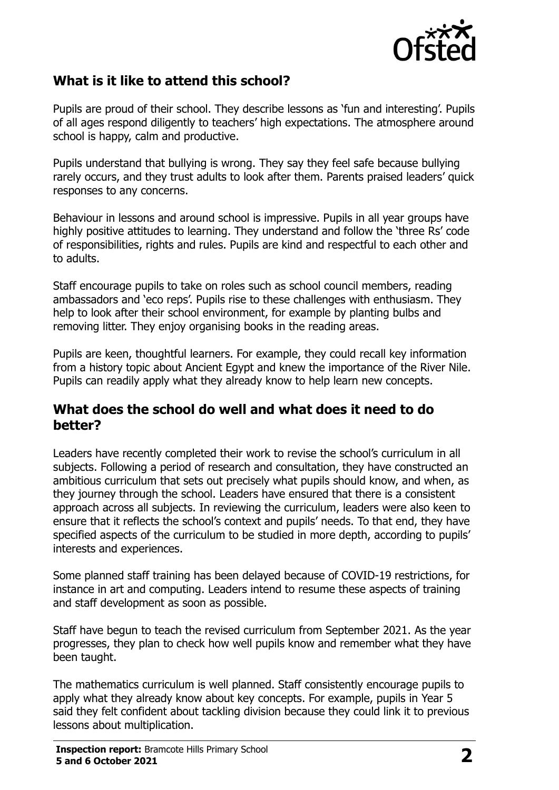

#### **What is it like to attend this school?**

Pupils are proud of their school. They describe lessons as 'fun and interesting'. Pupils of all ages respond diligently to teachers' high expectations. The atmosphere around school is happy, calm and productive.

Pupils understand that bullying is wrong. They say they feel safe because bullying rarely occurs, and they trust adults to look after them. Parents praised leaders' quick responses to any concerns.

Behaviour in lessons and around school is impressive. Pupils in all year groups have highly positive attitudes to learning. They understand and follow the 'three Rs' code of responsibilities, rights and rules. Pupils are kind and respectful to each other and to adults.

Staff encourage pupils to take on roles such as school council members, reading ambassadors and 'eco reps'. Pupils rise to these challenges with enthusiasm. They help to look after their school environment, for example by planting bulbs and removing litter. They enjoy organising books in the reading areas.

Pupils are keen, thoughtful learners. For example, they could recall key information from a history topic about Ancient Egypt and knew the importance of the River Nile. Pupils can readily apply what they already know to help learn new concepts.

#### **What does the school do well and what does it need to do better?**

Leaders have recently completed their work to revise the school's curriculum in all subjects. Following a period of research and consultation, they have constructed an ambitious curriculum that sets out precisely what pupils should know, and when, as they journey through the school. Leaders have ensured that there is a consistent approach across all subjects. In reviewing the curriculum, leaders were also keen to ensure that it reflects the school's context and pupils' needs. To that end, they have specified aspects of the curriculum to be studied in more depth, according to pupils' interests and experiences.

Some planned staff training has been delayed because of COVID-19 restrictions, for instance in art and computing. Leaders intend to resume these aspects of training and staff development as soon as possible.

Staff have begun to teach the revised curriculum from September 2021. As the year progresses, they plan to check how well pupils know and remember what they have been taught.

The mathematics curriculum is well planned. Staff consistently encourage pupils to apply what they already know about key concepts. For example, pupils in Year 5 said they felt confident about tackling division because they could link it to previous lessons about multiplication.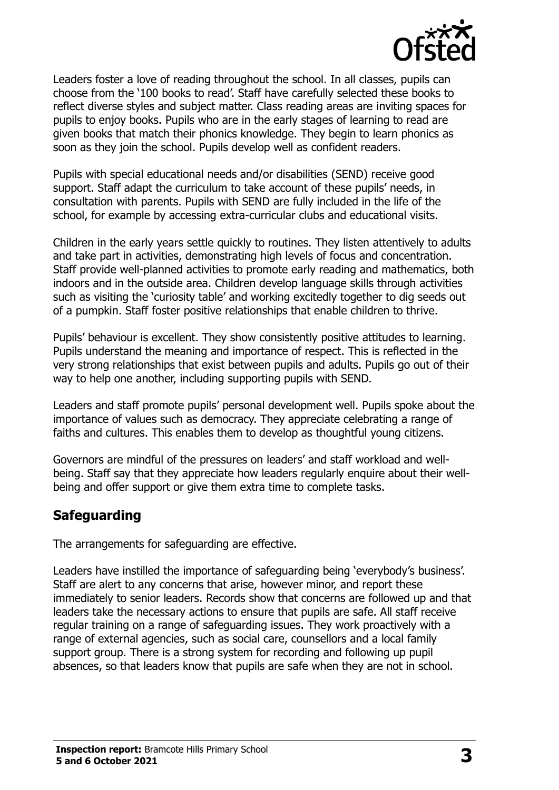

Leaders foster a love of reading throughout the school. In all classes, pupils can choose from the '100 books to read'. Staff have carefully selected these books to reflect diverse styles and subject matter. Class reading areas are inviting spaces for pupils to enjoy books. Pupils who are in the early stages of learning to read are given books that match their phonics knowledge. They begin to learn phonics as soon as they join the school. Pupils develop well as confident readers.

Pupils with special educational needs and/or disabilities (SEND) receive good support. Staff adapt the curriculum to take account of these pupils' needs, in consultation with parents. Pupils with SEND are fully included in the life of the school, for example by accessing extra-curricular clubs and educational visits.

Children in the early years settle quickly to routines. They listen attentively to adults and take part in activities, demonstrating high levels of focus and concentration. Staff provide well-planned activities to promote early reading and mathematics, both indoors and in the outside area. Children develop language skills through activities such as visiting the 'curiosity table' and working excitedly together to dig seeds out of a pumpkin. Staff foster positive relationships that enable children to thrive.

Pupils' behaviour is excellent. They show consistently positive attitudes to learning. Pupils understand the meaning and importance of respect. This is reflected in the very strong relationships that exist between pupils and adults. Pupils go out of their way to help one another, including supporting pupils with SEND.

Leaders and staff promote pupils' personal development well. Pupils spoke about the importance of values such as democracy. They appreciate celebrating a range of faiths and cultures. This enables them to develop as thoughtful young citizens.

Governors are mindful of the pressures on leaders' and staff workload and wellbeing. Staff say that they appreciate how leaders regularly enquire about their wellbeing and offer support or give them extra time to complete tasks.

#### **Safeguarding**

The arrangements for safeguarding are effective.

Leaders have instilled the importance of safeguarding being 'everybody's business'. Staff are alert to any concerns that arise, however minor, and report these immediately to senior leaders. Records show that concerns are followed up and that leaders take the necessary actions to ensure that pupils are safe. All staff receive regular training on a range of safeguarding issues. They work proactively with a range of external agencies, such as social care, counsellors and a local family support group. There is a strong system for recording and following up pupil absences, so that leaders know that pupils are safe when they are not in school.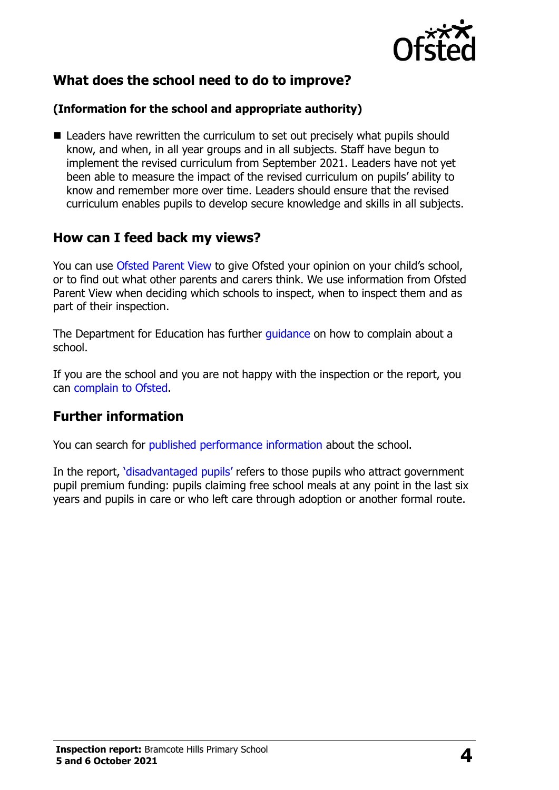

# **What does the school need to do to improve?**

#### **(Information for the school and appropriate authority)**

■ Leaders have rewritten the curriculum to set out precisely what pupils should know, and when, in all year groups and in all subjects. Staff have begun to implement the revised curriculum from September 2021. Leaders have not yet been able to measure the impact of the revised curriculum on pupils' ability to know and remember more over time. Leaders should ensure that the revised curriculum enables pupils to develop secure knowledge and skills in all subjects.

#### **How can I feed back my views?**

You can use [Ofsted Parent View](http://parentview.ofsted.gov.uk/) to give Ofsted your opinion on your child's school, or to find out what other parents and carers think. We use information from Ofsted Parent View when deciding which schools to inspect, when to inspect them and as part of their inspection.

The Department for Education has further quidance on how to complain about a school.

If you are the school and you are not happy with the inspection or the report, you can [complain to Ofsted.](http://www.gov.uk/complain-ofsted-report)

# **Further information**

You can search for [published performance information](http://www.compare-school-performance.service.gov.uk/) about the school.

In the report, '[disadvantaged pupils](http://www.gov.uk/guidance/pupil-premium-information-for-schools-and-alternative-provision-settings)' refers to those pupils who attract government pupil premium funding: pupils claiming free school meals at any point in the last six years and pupils in care or who left care through adoption or another formal route.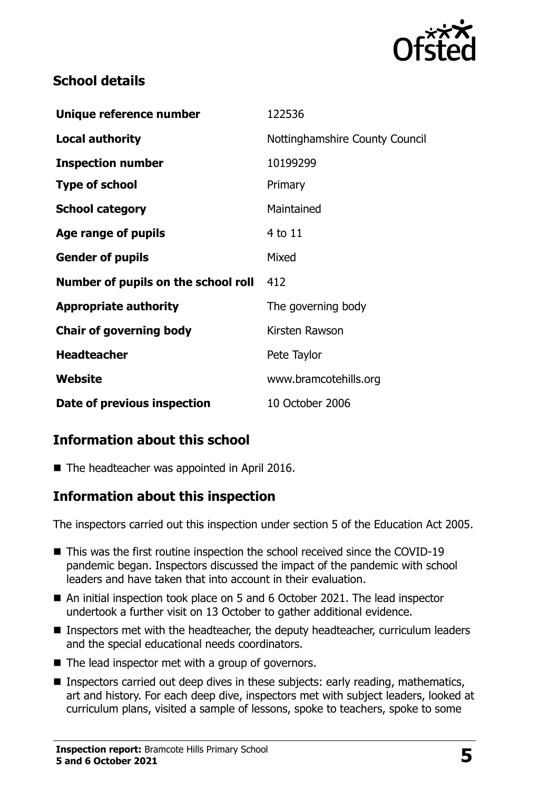

### **School details**

| Unique reference number             | 122536                         |
|-------------------------------------|--------------------------------|
| <b>Local authority</b>              | Nottinghamshire County Council |
| <b>Inspection number</b>            | 10199299                       |
| <b>Type of school</b>               | Primary                        |
| <b>School category</b>              | Maintained                     |
| Age range of pupils                 | 4 to 11                        |
| <b>Gender of pupils</b>             | Mixed                          |
| Number of pupils on the school roll | 412                            |
| <b>Appropriate authority</b>        | The governing body             |
| <b>Chair of governing body</b>      | Kirsten Rawson                 |
| <b>Headteacher</b>                  | Pete Taylor                    |
| Website                             | www.bramcotehills.org          |
| Date of previous inspection         | 10 October 2006                |

# **Information about this school**

■ The headteacher was appointed in April 2016.

#### **Information about this inspection**

The inspectors carried out this inspection under section 5 of the Education Act 2005.

- This was the first routine inspection the school received since the COVID-19 pandemic began. Inspectors discussed the impact of the pandemic with school leaders and have taken that into account in their evaluation.
- An initial inspection took place on 5 and 6 October 2021. The lead inspector undertook a further visit on 13 October to gather additional evidence.
- Inspectors met with the headteacher, the deputy headteacher, curriculum leaders and the special educational needs coordinators.
- The lead inspector met with a group of governors.
- Inspectors carried out deep dives in these subjects: early reading, mathematics, art and history. For each deep dive, inspectors met with subject leaders, looked at curriculum plans, visited a sample of lessons, spoke to teachers, spoke to some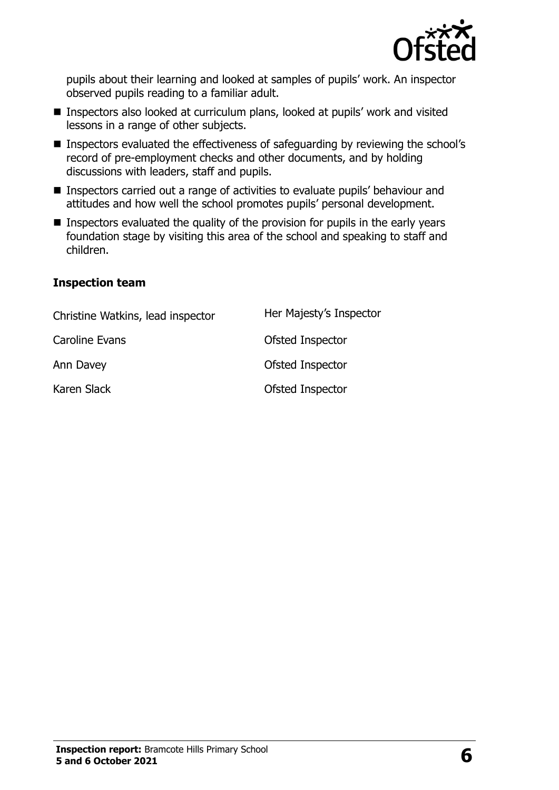

pupils about their learning and looked at samples of pupils' work. An inspector observed pupils reading to a familiar adult.

- Inspectors also looked at curriculum plans, looked at pupils' work and visited lessons in a range of other subjects.
- Inspectors evaluated the effectiveness of safeguarding by reviewing the school's record of pre-employment checks and other documents, and by holding discussions with leaders, staff and pupils.
- Inspectors carried out a range of activities to evaluate pupils' behaviour and attitudes and how well the school promotes pupils' personal development.
- $\blacksquare$  Inspectors evaluated the quality of the provision for pupils in the early years foundation stage by visiting this area of the school and speaking to staff and children.

#### **Inspection team**

| Christine Watkins, lead inspector | Her Majesty's Inspector |
|-----------------------------------|-------------------------|
| Caroline Evans                    | Ofsted Inspector        |
| Ann Davey                         | Ofsted Inspector        |
| Karen Slack                       | Ofsted Inspector        |